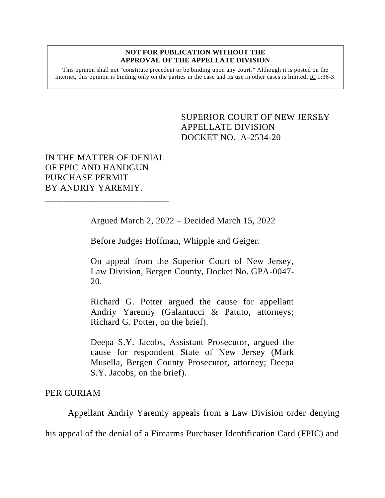## **NOT FOR PUBLICATION WITHOUT THE APPROVAL OF THE APPELLATE DIVISION**

This opinion shall not "constitute precedent or be binding upon any court." Although it is posted on the internet, this opinion is binding only on the parties in the case and its use in other cases is limited. R. 1:36-3.

> SUPERIOR COURT OF NEW JERSEY APPELLATE DIVISION DOCKET NO. A-2534-20

IN THE MATTER OF DENIAL OF FPIC AND HANDGUN PURCHASE PERMIT BY ANDRIY YAREMIY.

\_\_\_\_\_\_\_\_\_\_\_\_\_\_\_\_\_\_\_\_\_\_\_\_\_\_\_

Argued March 2, 2022 – Decided March 15, 2022

Before Judges Hoffman, Whipple and Geiger.

On appeal from the Superior Court of New Jersey, Law Division, Bergen County, Docket No. GPA-0047- 20.

Richard G. Potter argued the cause for appellant Andriy Yaremiy (Galantucci & Patuto, attorneys; Richard G. Potter, on the brief).

Deepa S.Y. Jacobs, Assistant Prosecutor, argued the cause for respondent State of New Jersey (Mark Musella, Bergen County Prosecutor, attorney; Deepa S.Y. Jacobs, on the brief).

PER CURIAM

Appellant Andriy Yaremiy appeals from a Law Division order denying

his appeal of the denial of a Firearms Purchaser Identification Card (FPIC) and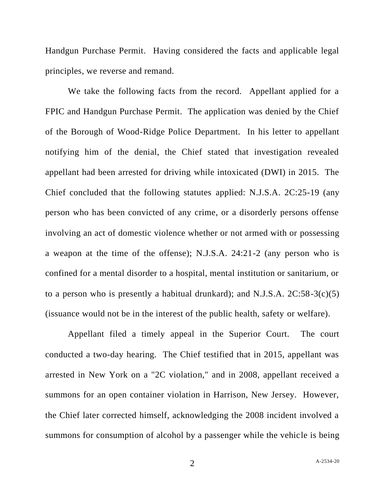Handgun Purchase Permit. Having considered the facts and applicable legal principles, we reverse and remand.

We take the following facts from the record. Appellant applied for a FPIC and Handgun Purchase Permit. The application was denied by the Chief of the Borough of Wood-Ridge Police Department. In his letter to appellant notifying him of the denial, the Chief stated that investigation revealed appellant had been arrested for driving while intoxicated (DWI) in 2015. The Chief concluded that the following statutes applied: N.J.S.A. 2C:25-19 (any person who has been convicted of any crime, or a disorderly persons offense involving an act of domestic violence whether or not armed with or possessing a weapon at the time of the offense); N.J.S.A. 24:21-2 (any person who is confined for a mental disorder to a hospital, mental institution or sanitarium, or to a person who is presently a habitual drunkard); and N.J.S.A.  $2C:58-3(c)(5)$ (issuance would not be in the interest of the public health, safety or welfare).

Appellant filed a timely appeal in the Superior Court. The court conducted a two-day hearing. The Chief testified that in 2015, appellant was arrested in New York on a "2C violation," and in 2008, appellant received a summons for an open container violation in Harrison, New Jersey. However, the Chief later corrected himself, acknowledging the 2008 incident involved a summons for consumption of alcohol by a passenger while the vehicle is being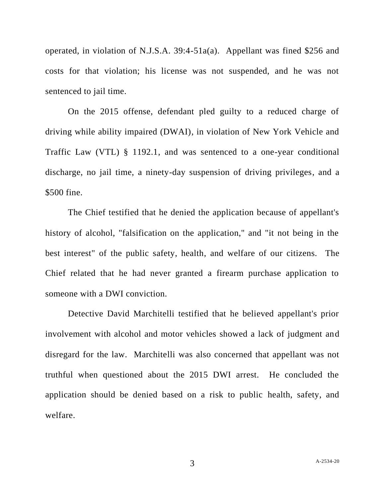operated, in violation of N.J.S.A. 39:4-51a(a). Appellant was fined \$256 and costs for that violation; his license was not suspended, and he was not sentenced to jail time.

On the 2015 offense, defendant pled guilty to a reduced charge of driving while ability impaired (DWAI), in violation of New York Vehicle and Traffic Law (VTL) § 1192.1, and was sentenced to a one-year conditional discharge, no jail time, a ninety-day suspension of driving privileges, and a \$500 fine.

The Chief testified that he denied the application because of appellant's history of alcohol, "falsification on the application," and "it not being in the best interest" of the public safety, health, and welfare of our citizens. The Chief related that he had never granted a firearm purchase application to someone with a DWI conviction.

Detective David Marchitelli testified that he believed appellant's prior involvement with alcohol and motor vehicles showed a lack of judgment and disregard for the law. Marchitelli was also concerned that appellant was not truthful when questioned about the 2015 DWI arrest. He concluded the application should be denied based on a risk to public health, safety, and welfare.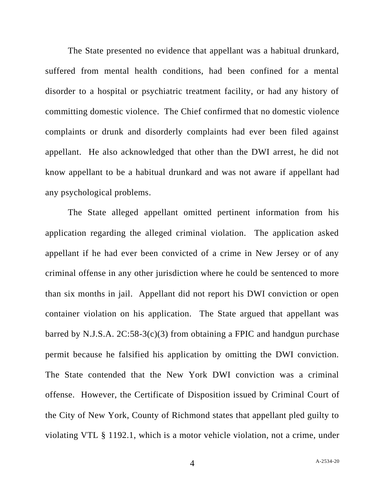The State presented no evidence that appellant was a habitual drunkard, suffered from mental health conditions, had been confined for a mental disorder to a hospital or psychiatric treatment facility, or had any history of committing domestic violence. The Chief confirmed that no domestic violence complaints or drunk and disorderly complaints had ever been filed against appellant. He also acknowledged that other than the DWI arrest, he did not know appellant to be a habitual drunkard and was not aware if appellant had any psychological problems.

The State alleged appellant omitted pertinent information from his application regarding the alleged criminal violation. The application asked appellant if he had ever been convicted of a crime in New Jersey or of any criminal offense in any other jurisdiction where he could be sentenced to more than six months in jail. Appellant did not report his DWI conviction or open container violation on his application. The State argued that appellant was barred by N.J.S.A.  $2C:58-3(c)(3)$  from obtaining a FPIC and handgun purchase permit because he falsified his application by omitting the DWI conviction. The State contended that the New York DWI conviction was a criminal offense. However, the Certificate of Disposition issued by Criminal Court of the City of New York, County of Richmond states that appellant pled guilty to violating VTL § 1192.1, which is a motor vehicle violation, not a crime, under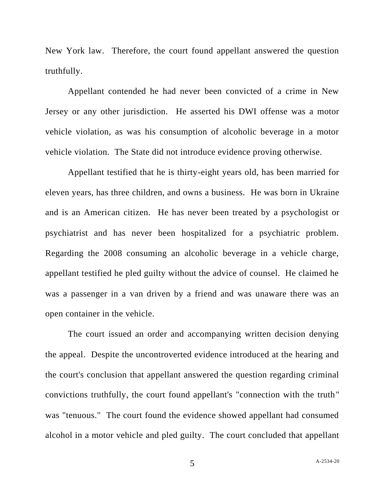New York law. Therefore, the court found appellant answered the question truthfully.

Appellant contended he had never been convicted of a crime in New Jersey or any other jurisdiction. He asserted his DWI offense was a motor vehicle violation, as was his consumption of alcoholic beverage in a motor vehicle violation. The State did not introduce evidence proving otherwise.

Appellant testified that he is thirty-eight years old, has been married for eleven years, has three children, and owns a business. He was born in Ukraine and is an American citizen. He has never been treated by a psychologist or psychiatrist and has never been hospitalized for a psychiatric problem. Regarding the 2008 consuming an alcoholic beverage in a vehicle charge, appellant testified he pled guilty without the advice of counsel. He claimed he was a passenger in a van driven by a friend and was unaware there was an open container in the vehicle.

The court issued an order and accompanying written decision denying the appeal. Despite the uncontroverted evidence introduced at the hearing and the court's conclusion that appellant answered the question regarding criminal convictions truthfully, the court found appellant's "connection with the truth" was "tenuous." The court found the evidence showed appellant had consumed alcohol in a motor vehicle and pled guilty. The court concluded that appellant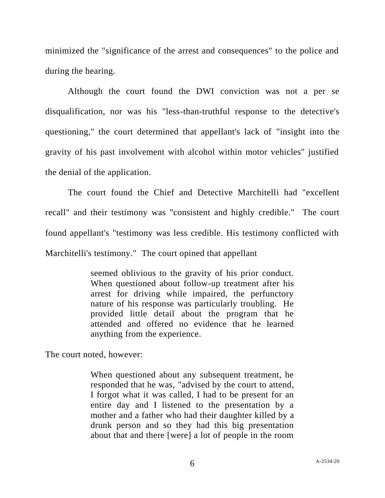minimized the "significance of the arrest and consequences" to the police and during the hearing.

Although the court found the DWI conviction was not a per se disqualification, nor was his "less-than-truthful response to the detective's questioning," the court determined that appellant's lack of "insight into the gravity of his past involvement with alcohol within motor vehicles" justified the denial of the application.

The court found the Chief and Detective Marchitelli had "excellent recall" and their testimony was "consistent and highly credible." The court found appellant's "testimony was less credible. His testimony conflicted with Marchitelli's testimony." The court opined that appellant

> seemed oblivious to the gravity of his prior conduct. When questioned about follow-up treatment after his arrest for driving while impaired, the perfunctory nature of his response was particularly troubling. He provided little detail about the program that he attended and offered no evidence that he learned anything from the experience.

The court noted, however:

When questioned about any subsequent treatment, he responded that he was, "advised by the court to attend, I forgot what it was called, I had to be present for an entire day and I listened to the presentation by a mother and a father who had their daughter killed by a drunk person and so they had this big presentation about that and there [were] a lot of people in the room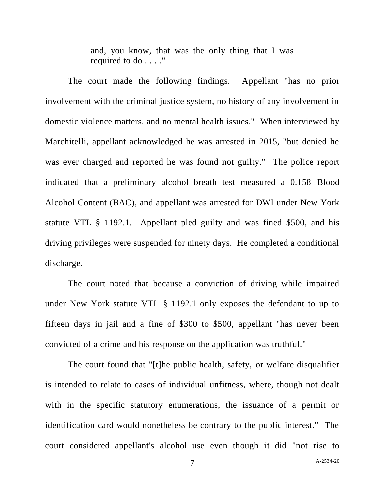and, you know, that was the only thing that I was required to do . . . ."

The court made the following findings. Appellant "has no prior involvement with the criminal justice system, no history of any involvement in domestic violence matters, and no mental health issues." When interviewed by Marchitelli, appellant acknowledged he was arrested in 2015, "but denied he was ever charged and reported he was found not guilty." The police report indicated that a preliminary alcohol breath test measured a 0.158 Blood Alcohol Content (BAC), and appellant was arrested for DWI under New York statute VTL § 1192.1. Appellant pled guilty and was fined \$500, and his driving privileges were suspended for ninety days. He completed a conditional discharge.

The court noted that because a conviction of driving while impaired under New York statute VTL § 1192.1 only exposes the defendant to up to fifteen days in jail and a fine of \$300 to \$500, appellant "has never been convicted of a crime and his response on the application was truthful."

The court found that "[t]he public health, safety, or welfare disqualifier is intended to relate to cases of individual unfitness, where, though not dealt with in the specific statutory enumerations, the issuance of a permit or identification card would nonetheless be contrary to the public interest." The court considered appellant's alcohol use even though it did "not rise to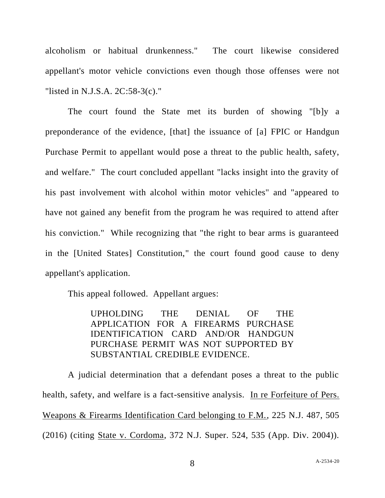alcoholism or habitual drunkenness." The court likewise considered appellant's motor vehicle convictions even though those offenses were not "listed in N.J.S.A. 2C:58-3(c)."

The court found the State met its burden of showing "[b]y a preponderance of the evidence, [that] the issuance of [a] FPIC or Handgun Purchase Permit to appellant would pose a threat to the public health, safety, and welfare." The court concluded appellant "lacks insight into the gravity of his past involvement with alcohol within motor vehicles" and "appeared to have not gained any benefit from the program he was required to attend after his conviction." While recognizing that "the right to bear arms is guaranteed in the [United States] Constitution," the court found good cause to deny appellant's application.

This appeal followed. Appellant argues:

UPHOLDING THE DENIAL OF THE APPLICATION FOR A FIREARMS PURCHASE IDENTIFICATION CARD AND/OR HANDGUN PURCHASE PERMIT WAS NOT SUPPORTED BY SUBSTANTIAL CREDIBLE EVIDENCE.

A judicial determination that a defendant poses a threat to the public health, safety, and welfare is a fact-sensitive analysis. In re Forfeiture of Pers. Weapons & Firearms Identification Card belonging to F.M., 225 N.J. 487, 505 (2016) (citing State v. Cordoma, 372 N.J. Super. 524, 535 (App. Div. 2004)).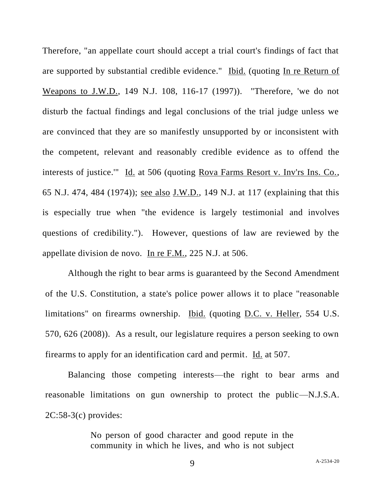Therefore, "an appellate court should accept a trial court's findings of fact that are supported by substantial credible evidence." Ibid. (quoting In re Return of Weapons to J.W.D., 149 N.J. 108, 116-17 (1997)). "Therefore, 'we do not disturb the factual findings and legal conclusions of the trial judge unless we are convinced that they are so manifestly unsupported by or inconsistent with the competent, relevant and reasonably credible evidence as to offend the interests of justice.'" Id. at 506 (quoting Rova Farms Resort v. Inv'rs Ins. Co., 65 N.J. 474, 484 (1974)); see also J.W.D., 149 N.J. at 117 (explaining that this is especially true when "the evidence is largely testimonial and involves questions of credibility."). However, questions of law are reviewed by the appellate division de novo. In re F.M., 225 N.J. at 506.

Although the right to bear arms is guaranteed by the Second Amendment of the U.S. Constitution, a state's police power allows it to place "reasonable limitations" on firearms ownership. Ibid. (quoting D.C. v. Heller, 554 U.S. 570, 626 (2008)). As a result, our legislature requires a person seeking to own firearms to apply for an identification card and permit. Id. at 507.

Balancing those competing interests—the right to bear arms and reasonable limitations on gun ownership to protect the public—N.J.S.A. 2C:58-3(c) provides:

> No person of good character and good repute in the community in which he lives, and who is not subject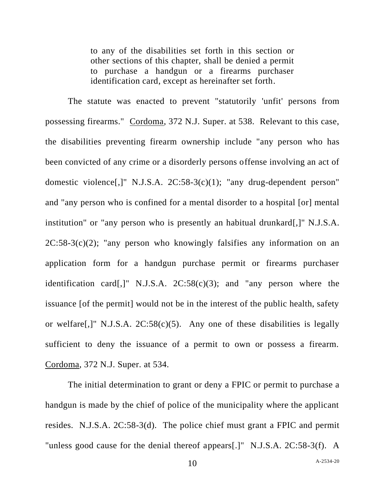to any of the disabilities set forth in this section or other sections of this chapter, shall be denied a permit to purchase a handgun or a firearms purchaser identification card, except as hereinafter set forth.

The statute was enacted to prevent "statutorily 'unfit' persons from possessing firearms." Cordoma, 372 N.J. Super. at 538. Relevant to this case, the disabilities preventing firearm ownership include "any person who has been convicted of any crime or a disorderly persons offense involving an act of domestic violence[,]" N.J.S.A. 2C:58-3(c)(1); "any drug-dependent person" and "any person who is confined for a mental disorder to a hospital [or] mental institution" or "any person who is presently an habitual drunkard[,]" N.J.S.A.  $2C:58-3(c)(2)$ ; "any person who knowingly falsifies any information on an application form for a handgun purchase permit or firearms purchaser identification card[,]" N.J.S.A.  $2C:58(c)(3)$ ; and "any person where the issuance [of the permit] would not be in the interest of the public health, safety or welfare<sup>[,]"</sup> N.J.S.A.  $2C:58(c)(5)$ . Any one of these disabilities is legally sufficient to deny the issuance of a permit to own or possess a firearm. Cordoma, 372 N.J. Super. at 534.

The initial determination to grant or deny a FPIC or permit to purchase a handgun is made by the chief of police of the municipality where the applicant resides. N.J.S.A. 2C:58-3(d). The police chief must grant a FPIC and permit "unless good cause for the denial thereof appears[.]" N.J.S.A. 2C:58-3(f). A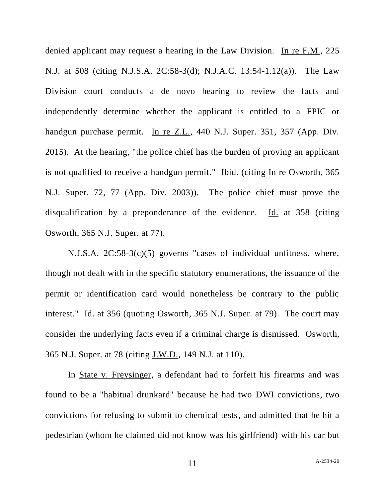denied applicant may request a hearing in the Law Division. In re F.M., 225 N.J. at 508 (citing N.J.S.A. 2C:58-3(d); N.J.A.C. 13:54-1.12(a)). The Law Division court conducts a de novo hearing to review the facts and independently determine whether the applicant is entitled to a FPIC or handgun purchase permit. In re Z.L., 440 N.J. Super. 351, 357 (App. Div. 2015). At the hearing, "the police chief has the burden of proving an applicant is not qualified to receive a handgun permit." Ibid. (citing In re Osworth, 365 N.J. Super. 72, 77 (App. Div. 2003)). The police chief must prove the disqualification by a preponderance of the evidence. Id. at 358 (citing Osworth, 365 N.J. Super. at 77).

N.J.S.A. 2C:58-3(c)(5) governs "cases of individual unfitness, where, though not dealt with in the specific statutory enumerations, the issuance of the permit or identification card would nonetheless be contrary to the public interest." Id. at 356 (quoting Osworth, 365 N.J. Super. at 79). The court may consider the underlying facts even if a criminal charge is dismissed. Osworth, 365 N.J. Super. at 78 (citing J.W.D., 149 N.J. at 110).

In State v. Freysinger, a defendant had to forfeit his firearms and was found to be a "habitual drunkard" because he had two DWI convictions, two convictions for refusing to submit to chemical tests, and admitted that he hit a pedestrian (whom he claimed did not know was his girlfriend) with his car but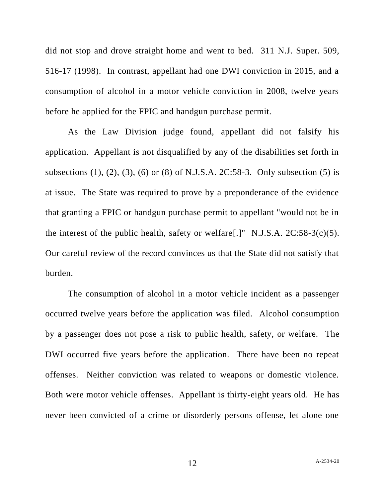did not stop and drove straight home and went to bed. 311 N.J. Super. 509, 516-17 (1998). In contrast, appellant had one DWI conviction in 2015, and a consumption of alcohol in a motor vehicle conviction in 2008, twelve years before he applied for the FPIC and handgun purchase permit.

As the Law Division judge found, appellant did not falsify his application. Appellant is not disqualified by any of the disabilities set forth in subsections (1), (2), (3), (6) or (8) of N.J.S.A. 2C:58-3. Only subsection (5) is at issue. The State was required to prove by a preponderance of the evidence that granting a FPIC or handgun purchase permit to appellant "would not be in the interest of the public health, safety or welfare[.]" N.J.S.A.  $2C:58-3(c)(5)$ . Our careful review of the record convinces us that the State did not satisfy that burden.

The consumption of alcohol in a motor vehicle incident as a passenger occurred twelve years before the application was filed. Alcohol consumption by a passenger does not pose a risk to public health, safety, or welfare. The DWI occurred five years before the application. There have been no repeat offenses. Neither conviction was related to weapons or domestic violence. Both were motor vehicle offenses. Appellant is thirty-eight years old. He has never been convicted of a crime or disorderly persons offense, let alone one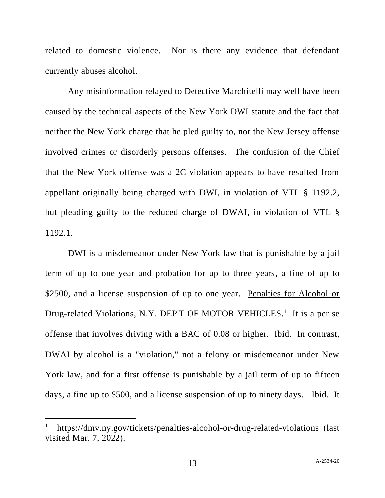related to domestic violence. Nor is there any evidence that defendant currently abuses alcohol.

Any misinformation relayed to Detective Marchitelli may well have been caused by the technical aspects of the New York DWI statute and the fact that neither the New York charge that he pled guilty to, nor the New Jersey offense involved crimes or disorderly persons offenses. The confusion of the Chief that the New York offense was a 2C violation appears to have resulted from appellant originally being charged with DWI, in violation of VTL § 1192.2, but pleading guilty to the reduced charge of DWAI, in violation of VTL § 1192.1.

DWI is a misdemeanor under New York law that is punishable by a jail term of up to one year and probation for up to three years, a fine of up to \$2500, and a license suspension of up to one year. Penalties for Alcohol or Drug-related Violations, N.Y. DEP'T OF MOTOR VEHICLES.<sup>1</sup> It is a per se offense that involves driving with a BAC of 0.08 or higher. Ibid. In contrast, DWAI by alcohol is a "violation," not a felony or misdemeanor under New York law, and for a first offense is punishable by a jail term of up to fifteen days, a fine up to \$500, and a license suspension of up to ninety days. Ibid. It

<sup>1</sup> https://dmv.ny.gov/tickets/penalties-alcohol-or-drug-related-violations (last visited Mar. 7, 2022).